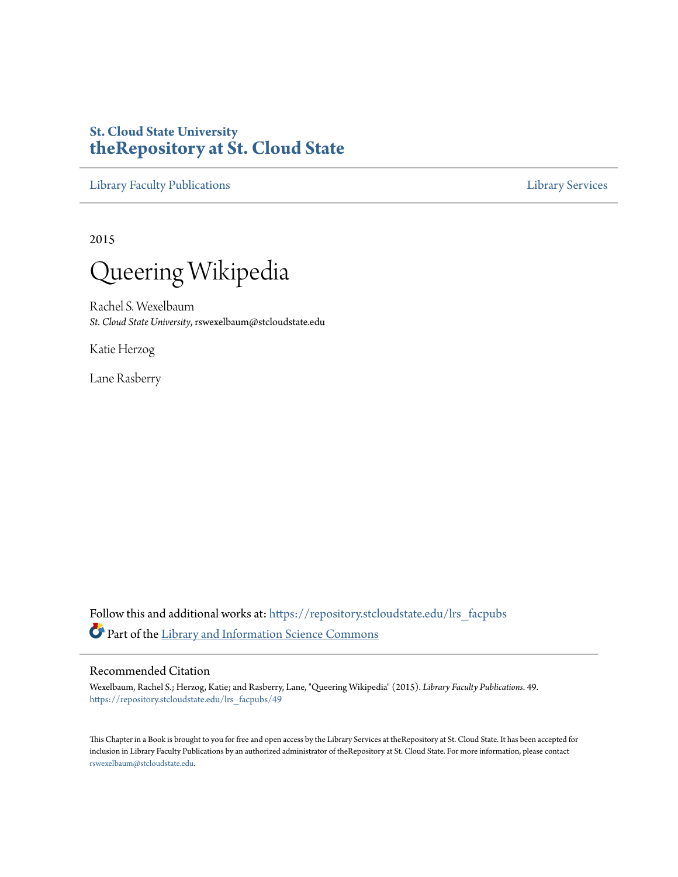# **St. Cloud State University [theRepository at St. Cloud State](https://repository.stcloudstate.edu?utm_source=repository.stcloudstate.edu%2Flrs_facpubs%2F49&utm_medium=PDF&utm_campaign=PDFCoverPages)**

[Library Faculty Publications](https://repository.stcloudstate.edu/lrs_facpubs?utm_source=repository.stcloudstate.edu%2Flrs_facpubs%2F49&utm_medium=PDF&utm_campaign=PDFCoverPages) [Library Services](https://repository.stcloudstate.edu/ls?utm_source=repository.stcloudstate.edu%2Flrs_facpubs%2F49&utm_medium=PDF&utm_campaign=PDFCoverPages)

2015



Rachel S. Wexelbaum *St. Cloud State University*, rswexelbaum@stcloudstate.edu

Katie Herzog

Lane Rasberry

Follow this and additional works at: [https://repository.stcloudstate.edu/lrs\\_facpubs](https://repository.stcloudstate.edu/lrs_facpubs?utm_source=repository.stcloudstate.edu%2Flrs_facpubs%2F49&utm_medium=PDF&utm_campaign=PDFCoverPages) Part of the [Library and Information Science Commons](http://network.bepress.com/hgg/discipline/1018?utm_source=repository.stcloudstate.edu%2Flrs_facpubs%2F49&utm_medium=PDF&utm_campaign=PDFCoverPages)

#### Recommended Citation

Wexelbaum, Rachel S.; Herzog, Katie; and Rasberry, Lane, "Queering Wikipedia" (2015). *Library Faculty Publications*. 49. [https://repository.stcloudstate.edu/lrs\\_facpubs/49](https://repository.stcloudstate.edu/lrs_facpubs/49?utm_source=repository.stcloudstate.edu%2Flrs_facpubs%2F49&utm_medium=PDF&utm_campaign=PDFCoverPages)

This Chapter in a Book is brought to you for free and open access by the Library Services at theRepository at St. Cloud State. It has been accepted for inclusion in Library Faculty Publications by an authorized administrator of theRepository at St. Cloud State. For more information, please contact [rswexelbaum@stcloudstate.edu](mailto:rswexelbaum@stcloudstate.edu).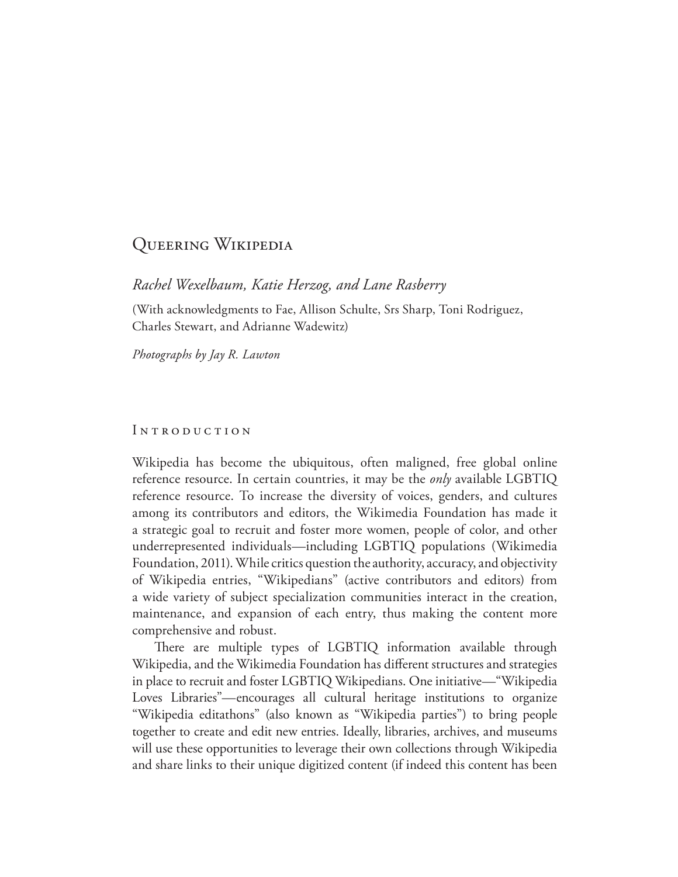## Queering Wikipedia

*Rachel Wexelbaum, Katie Herzog, and Lane Rasberry*

(With acknowledgments to Fae, Allison Schulte, Srs Sharp, Toni Rodriguez, Charles Stewart, and Adrianne Wadewitz)

*Photographs by Jay R. Lawton*

#### INTRODUCTION

Wikipedia has become the ubiquitous, often maligned, free global online reference resource. In certain countries, it may be the *only* available LGBTIQ reference resource. To increase the diversity of voices, genders, and cultures among its contributors and editors, the Wikimedia Foundation has made it a strategic goal to recruit and foster more women, people of color, and other underrepresented individuals—including LGBTIQ populations (Wikimedia Foundation, 2011). While critics question the authority, accuracy, and objectivity of Wikipedia entries, "Wikipedians" (active contributors and editors) from a wide variety of subject specialization communities interact in the creation, maintenance, and expansion of each entry, thus making the content more comprehensive and robust.

There are multiple types of LGBTIQ information available through Wikipedia, and the Wikimedia Foundation has diferent structures and strategies in place to recruit and foster LGBTIQ Wikipedians. One initiative—"Wikipedia Loves Libraries"—encourages all cultural heritage institutions to organize "Wikipedia editathons" (also known as "Wikipedia parties") to bring people together to create and edit new entries. Ideally, libraries, archives, and museums will use these opportunities to leverage their own collections through Wikipedia and share links to their unique digitized content (if indeed this content has been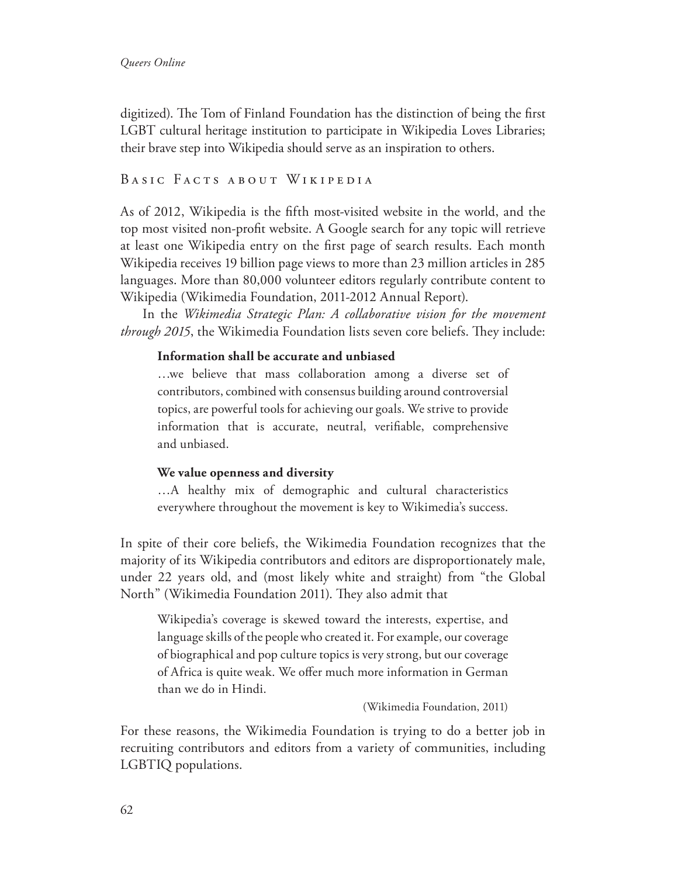digitized). The Tom of Finland Foundation has the distinction of being the first LGBT cultural heritage institution to participate in Wikipedia Loves Libraries; their brave step into Wikipedia should serve as an inspiration to others.

### BASIC FACTS ABOUT WIKIPEDIA

As of 2012, Wikipedia is the ffth most-visited website in the world, and the top most visited non-proft website. A Google search for any topic will retrieve at least one Wikipedia entry on the frst page of search results. Each month Wikipedia receives 19 billion page views to more than 23 million articles in 285 languages. More than 80,000 volunteer editors regularly contribute content to Wikipedia (Wikimedia Foundation, 2011-2012 Annual Report).

In the *Wikimedia Strategic Plan: A collaborative vision for the movement through 2015*, the Wikimedia Foundation lists seven core beliefs. They include:

#### **Information shall be accurate and unbiased**

…we believe that mass collaboration among a diverse set of contributors, combined with consensus building around controversial topics, are powerful tools for achieving our goals. We strive to provide information that is accurate, neutral, verifable, comprehensive and unbiased.

#### **We value openness and diversity**

…A healthy mix of demographic and cultural characteristics everywhere throughout the movement is key to Wikimedia's success.

In spite of their core beliefs, the Wikimedia Foundation recognizes that the majority of its Wikipedia contributors and editors are disproportionately male, under 22 years old, and (most likely white and straight) from "the Global North" (Wikimedia Foundation 2011). They also admit that

Wikipedia's coverage is skewed toward the interests, expertise, and language skills of the people who created it. For example, our coverage of biographical and pop culture topics is very strong, but our coverage of Africa is quite weak. We ofer much more information in German than we do in Hindi.

(Wikimedia Foundation, 2011)

For these reasons, the Wikimedia Foundation is trying to do a better job in recruiting contributors and editors from a variety of communities, including LGBTIQ populations.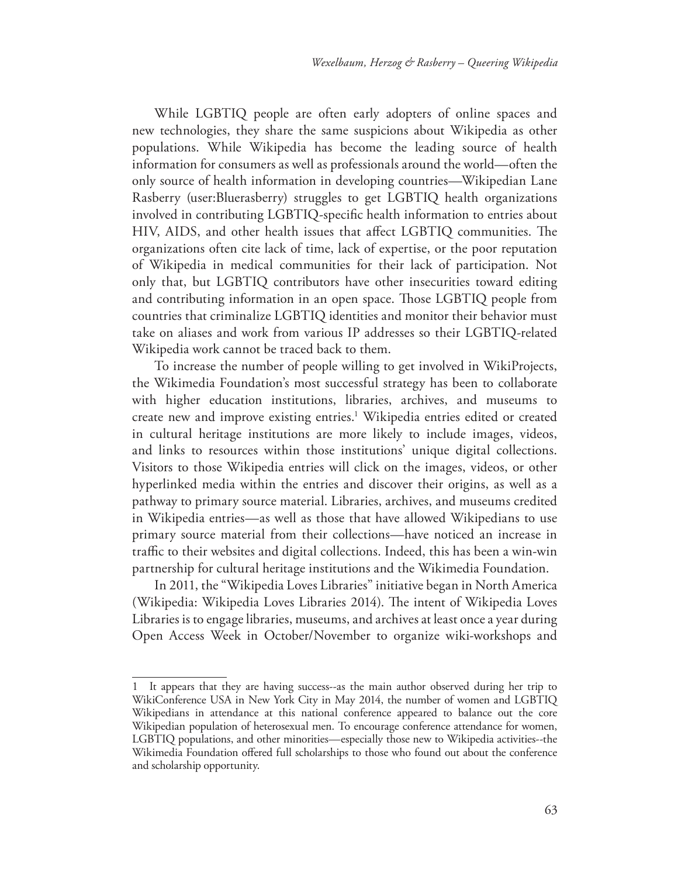While LGBTIQ people are often early adopters of online spaces and new technologies, they share the same suspicions about Wikipedia as other populations. While Wikipedia has become the leading source of health information for consumers as well as professionals around the world—often the only source of health information in developing countries—Wikipedian Lane Rasberry (user:Bluerasberry) struggles to get LGBTIQ health organizations involved in contributing LGBTIQ-specifc health information to entries about HIV, AIDS, and other health issues that affect LGBTIQ communities. The organizations often cite lack of time, lack of expertise, or the poor reputation of Wikipedia in medical communities for their lack of participation. Not only that, but LGBTIQ contributors have other insecurities toward editing and contributing information in an open space. Those LGBTIQ people from countries that criminalize LGBTIQ identities and monitor their behavior must take on aliases and work from various IP addresses so their LGBTIQ-related Wikipedia work cannot be traced back to them.

To increase the number of people willing to get involved in WikiProjects, the Wikimedia Foundation's most successful strategy has been to collaborate with higher education institutions, libraries, archives, and museums to create new and improve existing entries.<sup>1</sup> Wikipedia entries edited or created in cultural heritage institutions are more likely to include images, videos, and links to resources within those institutions' unique digital collections. Visitors to those Wikipedia entries will click on the images, videos, or other hyperlinked media within the entries and discover their origins, as well as a pathway to primary source material. Libraries, archives, and museums credited in Wikipedia entries—as well as those that have allowed Wikipedians to use primary source material from their collections—have noticed an increase in traffic to their websites and digital collections. Indeed, this has been a win-win partnership for cultural heritage institutions and the Wikimedia Foundation.

In 2011, the "Wikipedia Loves Libraries" initiative began in North America (Wikipedia: Wikipedia Loves Libraries 2014). The intent of Wikipedia Loves Libraries is to engage libraries, museums, and archives at least once a year during Open Access Week in October/November to organize wiki-workshops and

It appears that they are having success--as the main author observed during her trip to WikiConference USA in New York City in May 2014, the number of women and LGBTIQ Wikipedians in attendance at this national conference appeared to balance out the core Wikipedian population of heterosexual men. To encourage conference attendance for women, LGBTIQ populations, and other minorities—especially those new to Wikipedia activities--the Wikimedia Foundation ofered full scholarships to those who found out about the conference and scholarship opportunity.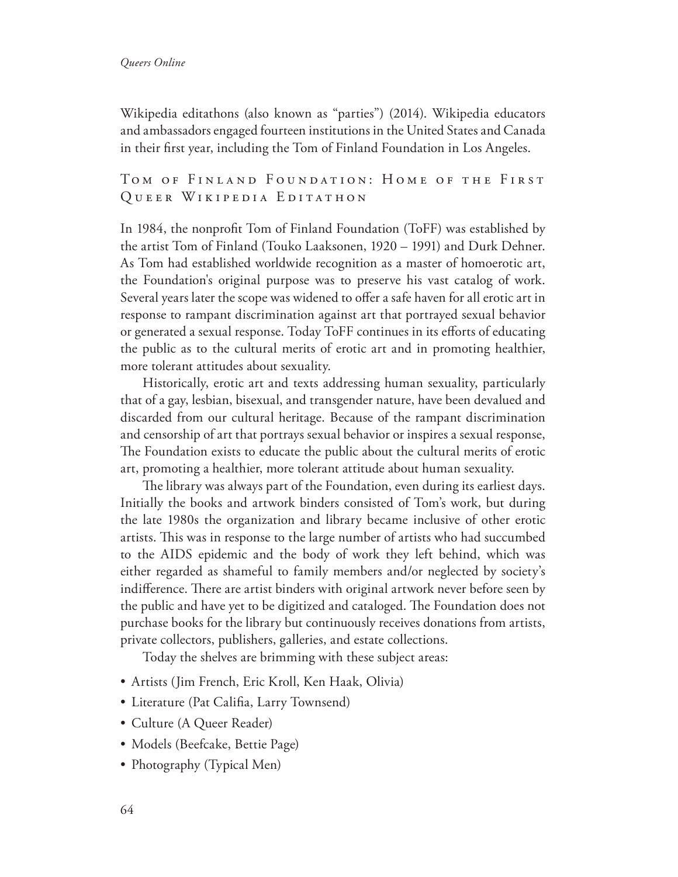Wikipedia editathons (also known as "parties") (2014). Wikipedia educators and ambassadors engaged fourteen institutions in the United States and Canada in their frst year, including the Tom of Finland Foundation in Los Angeles.

### TOM OF FINLAND FOUNDATION: HOME OF THE FIRST QUEER WIKIPEDIA EDITATHON

In 1984, the nonproft Tom of Finland Foundation (ToFF) was established by the artist Tom of Finland (Touko Laaksonen, 1920 – 1991) and Durk Dehner. As Tom had established worldwide recognition as a master of homoerotic art, the Foundation's original purpose was to preserve his vast catalog of work. Several years later the scope was widened to offer a safe haven for all erotic art in response to rampant discrimination against art that portrayed sexual behavior or generated a sexual response. Today ToFF continues in its eforts of educating the public as to the cultural merits of erotic art and in promoting healthier, more tolerant attitudes about sexuality.

Historically, erotic art and texts addressing human sexuality, particularly that of a gay, lesbian, bisexual, and transgender nature, have been devalued and discarded from our cultural heritage. Because of the rampant discrimination and censorship of art that portrays sexual behavior or inspires a sexual response, The Foundation exists to educate the public about the cultural merits of erotic art, promoting a healthier, more tolerant attitude about human sexuality.

The library was always part of the Foundation, even during its earliest days. Initially the books and artwork binders consisted of Tom's work, but during the late 1980s the organization and library became inclusive of other erotic artists. This was in response to the large number of artists who had succumbed to the AIDS epidemic and the body of work they left behind, which was either regarded as shameful to family members and/or neglected by society's indifference. There are artist binders with original artwork never before seen by the public and have yet to be digitized and cataloged. The Foundation does not purchase books for the library but continuously receives donations from artists, private collectors, publishers, galleries, and estate collections.

Today the shelves are brimming with these subject areas:

- Artists (Jim French, Eric Kroll, Ken Haak, Olivia)
- Literature (Pat Califia, Larry Townsend)
- Culture (A Queer Reader)
- Models (Beefcake, Bettie Page)
- Photography (Typical Men)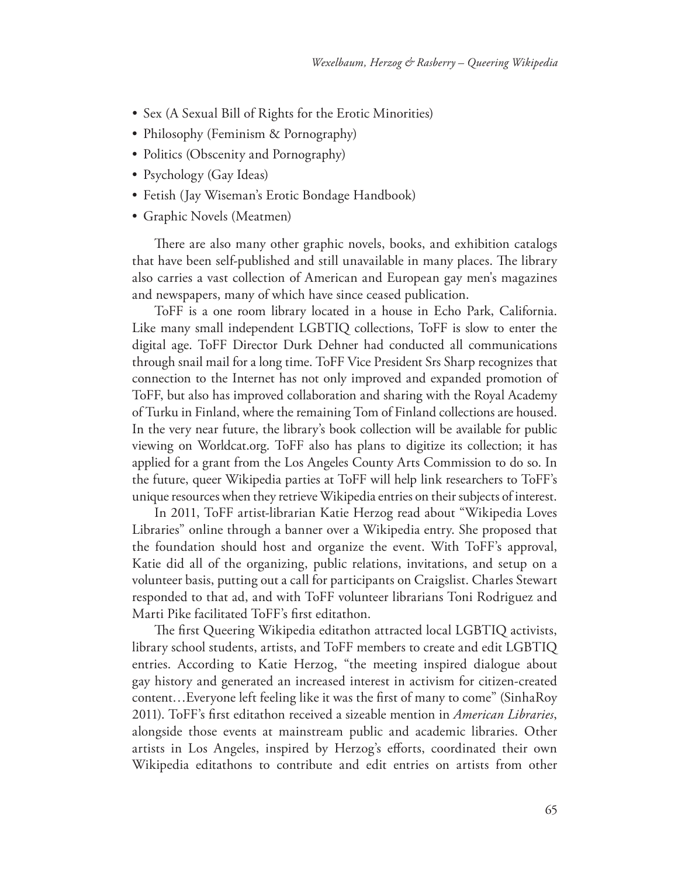- Sex (A Sexual Bill of Rights for the Erotic Minorities)
- Philosophy (Feminism & Pornography)
- Politics (Obscenity and Pornography)
- Psychology (Gay Ideas)
- Fetish (Jay Wiseman's Erotic Bondage Handbook)
- Graphic Novels (Meatmen)

There are also many other graphic novels, books, and exhibition catalogs that have been self-published and still unavailable in many places. The library also carries a vast collection of American and European gay men's magazines and newspapers, many of which have since ceased publication.

ToFF is a one room library located in a house in Echo Park, California. Like many small independent LGBTIQ collections, ToFF is slow to enter the digital age. ToFF Director Durk Dehner had conducted all communications through snail mail for a long time. ToFF Vice President Srs Sharp recognizes that connection to the Internet has not only improved and expanded promotion of ToFF, but also has improved collaboration and sharing with the Royal Academy of Turku in Finland, where the remaining Tom of Finland collections are housed. In the very near future, the library's book collection will be available for public viewing on Worldcat.org. ToFF also has plans to digitize its collection; it has applied for a grant from the Los Angeles County Arts Commission to do so. In the future, queer Wikipedia parties at ToFF will help link researchers to ToFF's unique resources when they retrieve Wikipedia entries on their subjects of interest.

In 2011, ToFF artist-librarian Katie Herzog read about "Wikipedia Loves Libraries" online through a banner over a Wikipedia entry. She proposed that the foundation should host and organize the event. With ToFF's approval, Katie did all of the organizing, public relations, invitations, and setup on a volunteer basis, putting out a call for participants on Craigslist. Charles Stewart responded to that ad, and with ToFF volunteer librarians Toni Rodriguez and Marti Pike facilitated ToFF's frst editathon.

The first Queering Wikipedia editathon attracted local LGBTIQ activists, library school students, artists, and ToFF members to create and edit LGBTIQ entries. According to Katie Herzog, "the meeting inspired dialogue about gay history and generated an increased interest in activism for citizen-created content…Everyone left feeling like it was the frst of many to come" (SinhaRoy 2011). ToFF's frst editathon received a sizeable mention in *American Libraries*, alongside those events at mainstream public and academic libraries. Other artists in Los Angeles, inspired by Herzog's eforts, coordinated their own Wikipedia editathons to contribute and edit entries on artists from other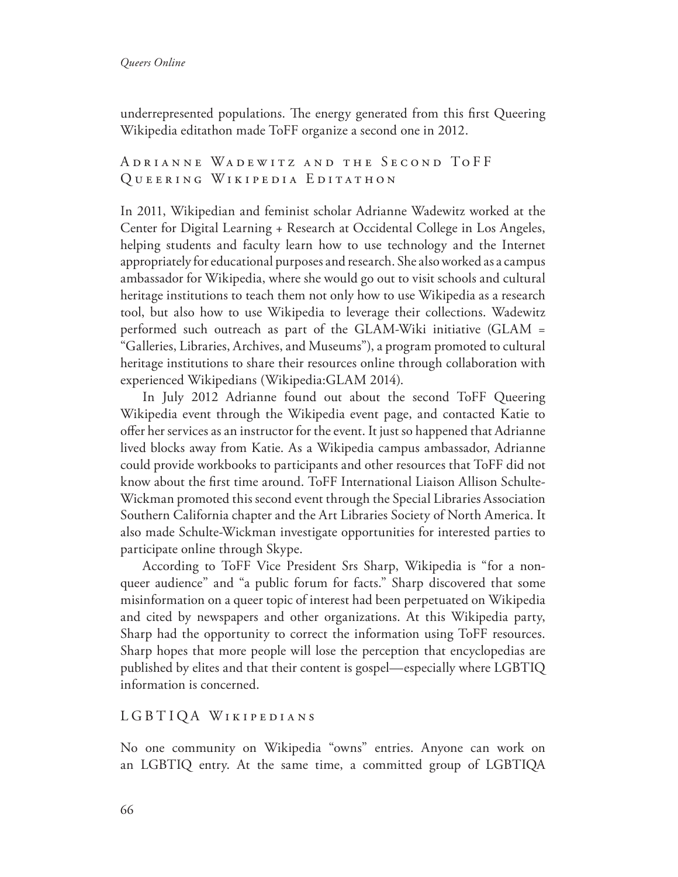underrepresented populations. The energy generated from this first Queering Wikipedia editathon made ToFF organize a second one in 2012.

A DRIANNE WADEWITZ AND THE SECOND TOFF QUEERING WIKIPEDIA EDITATHON

In 2011, Wikipedian and feminist scholar Adrianne Wadewitz worked at the Center for Digital Learning + Research at Occidental College in Los Angeles, helping students and faculty learn how to use technology and the Internet appropriately for educational purposes and research. She also worked as a campus ambassador for Wikipedia, where she would go out to visit schools and cultural heritage institutions to teach them not only how to use Wikipedia as a research tool, but also how to use Wikipedia to leverage their collections. Wadewitz performed such outreach as part of the GLAM-Wiki initiative (GLAM = "Galleries, Libraries, Archives, and Museums"), a program promoted to cultural heritage institutions to share their resources online through collaboration with experienced Wikipedians (Wikipedia:GLAM 2014).

In July 2012 Adrianne found out about the second ToFF Queering Wikipedia event through the Wikipedia event page, and contacted Katie to ofer her services as an instructor for the event. It just so happened that Adrianne lived blocks away from Katie. As a Wikipedia campus ambassador, Adrianne could provide workbooks to participants and other resources that ToFF did not know about the frst time around. ToFF International Liaison Allison Schulte-Wickman promoted this second event through the Special Libraries Association Southern California chapter and the Art Libraries Society of North America. It also made Schulte-Wickman investigate opportunities for interested parties to participate online through Skype.

According to ToFF Vice President Srs Sharp, Wikipedia is "for a nonqueer audience" and "a public forum for facts." Sharp discovered that some misinformation on a queer topic of interest had been perpetuated on Wikipedia and cited by newspapers and other organizations. At this Wikipedia party, Sharp had the opportunity to correct the information using ToFF resources. Sharp hopes that more people will lose the perception that encyclopedias are published by elites and that their content is gospel—especially where LGBTIQ information is concerned.

#### LGBTIQA WIKIPEDIANS

No one community on Wikipedia "owns" entries. Anyone can work on an LGBTIQ entry. At the same time, a committed group of LGBTIQA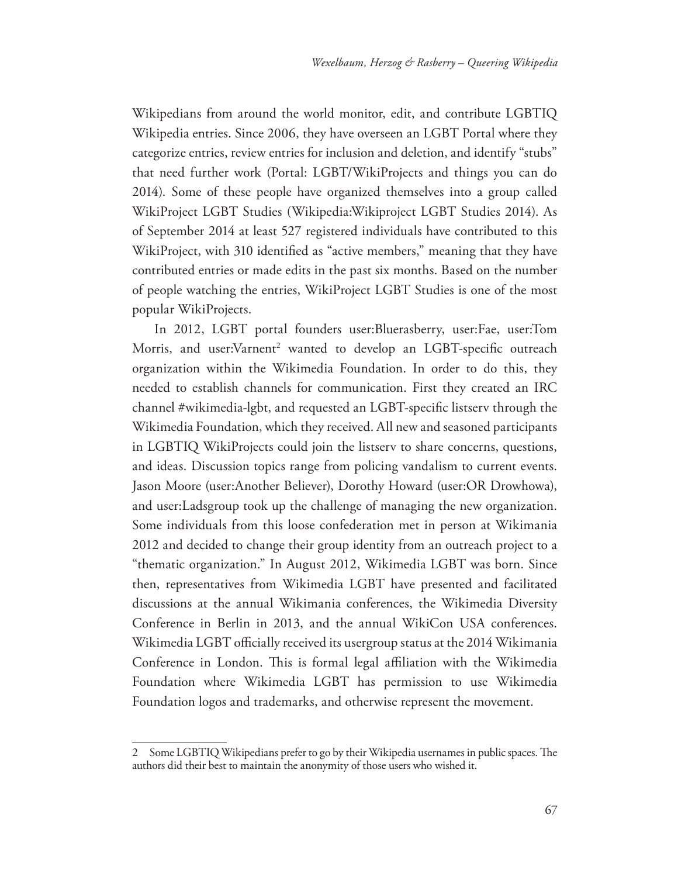Wikipedians from around the world monitor, edit, and contribute LGBTIQ Wikipedia entries. Since 2006, they have overseen an LGBT Portal where they categorize entries, review entries for inclusion and deletion, and identify "stubs" that need further work (Portal: LGBT/WikiProjects and things you can do 2014). Some of these people have organized themselves into a group called WikiProject LGBT Studies (Wikipedia:Wikiproject LGBT Studies 2014). As of September 2014 at least 527 registered individuals have contributed to this WikiProject, with 310 identified as "active members," meaning that they have contributed entries or made edits in the past six months. Based on the number of people watching the entries, WikiProject LGBT Studies is one of the most popular WikiProjects.

In 2012, LGBT portal founders user:Bluerasberry, user:Fae, user:Tom Morris, and user:Varnent<sup>2</sup> wanted to develop an LGBT-specific outreach organization within the Wikimedia Foundation. In order to do this, they needed to establish channels for communication. First they created an IRC channel #wikimedia-lgbt, and requested an LGBT-specifc listserv through the Wikimedia Foundation, which they received. All new and seasoned participants in LGBTIQ WikiProjects could join the listserv to share concerns, questions, and ideas. Discussion topics range from policing vandalism to current events. Jason Moore (user:Another Believer), Dorothy Howard (user:OR Drowhowa), and user:Ladsgroup took up the challenge of managing the new organization. Some individuals from this loose confederation met in person at Wikimania 2012 and decided to change their group identity from an outreach project to a "thematic organization." In August 2012, Wikimedia LGBT was born. Since then, representatives from Wikimedia LGBT have presented and facilitated discussions at the annual Wikimania conferences, the Wikimedia Diversity Conference in Berlin in 2013, and the annual WikiCon USA conferences. Wikimedia LGBT officially received its usergroup status at the 2014 Wikimania Conference in London. This is formal legal affiliation with the Wikimedia Foundation where Wikimedia LGBT has permission to use Wikimedia Foundation logos and trademarks, and otherwise represent the movement.

<sup>2</sup> Some LGBTIQ Wikipedians prefer to go by their Wikipedia usernames in public spaces. The authors did their best to maintain the anonymity of those users who wished it.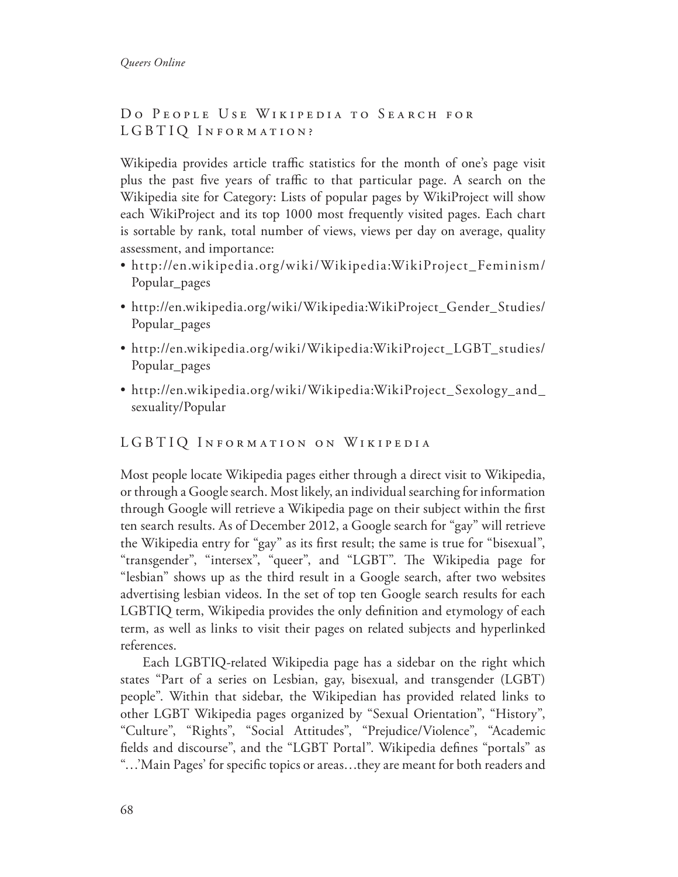## DO PEOPLE USE WIKIPEDIA TO SEARCH FOR LGBTIQ INFORMATION?

Wikipedia provides article traffic statistics for the month of one's page visit plus the past five years of traffic to that particular page. A search on the Wikipedia site for Category: Lists of popular pages by WikiProject will show each WikiProject and its top 1000 most frequently visited pages. Each chart is sortable by rank, total number of views, views per day on average, quality assessment, and importance:

- http://en.wikipedia.org/wiki/Wikipedia:WikiProject\_Feminism/ Popular\_pages
- http://en.wikipedia.org/wiki/Wikipedia:WikiProject\_Gender\_Studies/ Popular\_pages
- http://en.wikipedia.org/wiki/Wikipedia:WikiProject\_LGBT\_studies/ Popular\_pages
- http://en.wikipedia.org/wiki/Wikipedia:WikiProject\_Sexology\_and\_ sexuality/Popular

## LGBTIQ INFORMATION ON WIKIPEDIA

Most people locate Wikipedia pages either through a direct visit to Wikipedia, or through a Google search. Most likely, an individual searching for information through Google will retrieve a Wikipedia page on their subject within the frst ten search results. As of December 2012, a Google search for "gay" will retrieve the Wikipedia entry for "gay" as its frst result; the same is true for "bisexual", "transgender", "intersex", "queer", and "LGBT". The Wikipedia page for "lesbian" shows up as the third result in a Google search, after two websites advertising lesbian videos. In the set of top ten Google search results for each LGBTIQ term, Wikipedia provides the only defnition and etymology of each term, as well as links to visit their pages on related subjects and hyperlinked references.

Each LGBTIQ-related Wikipedia page has a sidebar on the right which states "Part of a series on Lesbian, gay, bisexual, and transgender (LGBT) people". Within that sidebar, the Wikipedian has provided related links to other LGBT Wikipedia pages organized by "Sexual Orientation", "History", "Culture", "Rights", "Social Attitudes", "Prejudice/Violence", "Academic felds and discourse", and the "LGBT Portal". Wikipedia defnes "portals" as "…'Main Pages' for specifc topics or areas…they are meant for both readers and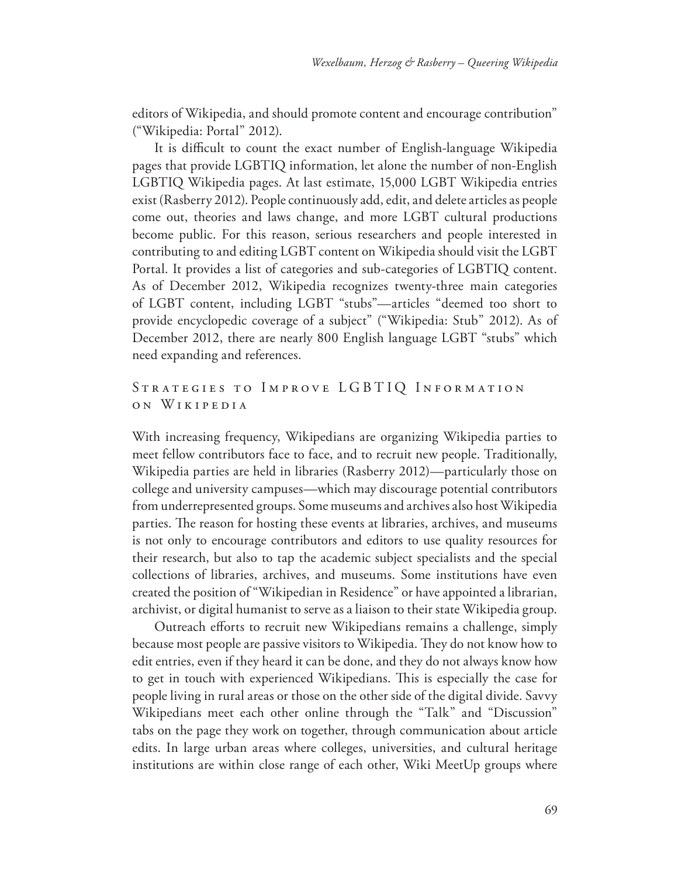editors of Wikipedia, and should promote content and encourage contribution" ("Wikipedia: Portal" 2012).

It is difficult to count the exact number of English-language Wikipedia pages that provide LGBTIQ information, let alone the number of non-English LGBTIQ Wikipedia pages. At last estimate, 15,000 LGBT Wikipedia entries exist (Rasberry 2012). People continuously add, edit, and delete articles as people come out, theories and laws change, and more LGBT cultural productions become public. For this reason, serious researchers and people interested in contributing to and editing LGBT content on Wikipedia should visit the LGBT Portal. It provides a list of categories and sub-categories of LGBTIQ content. As of December 2012, Wikipedia recognizes twenty-three main categories of LGBT content, including LGBT "stubs"—articles "deemed too short to provide encyclopedic coverage of a subject" ("Wikipedia: Stub" 2012). As of December 2012, there are nearly 800 English language LGBT "stubs" which need expanding and references.

### STRATEGIES TO IMPROVE LGBTIQ INFORMATION o n W ikipedia

With increasing frequency, Wikipedians are organizing Wikipedia parties to meet fellow contributors face to face, and to recruit new people. Traditionally, Wikipedia parties are held in libraries (Rasberry 2012)—particularly those on college and university campuses—which may discourage potential contributors from underrepresented groups. Some museums and archives also host Wikipedia parties. The reason for hosting these events at libraries, archives, and museums is not only to encourage contributors and editors to use quality resources for their research, but also to tap the academic subject specialists and the special collections of libraries, archives, and museums. Some institutions have even created the position of "Wikipedian in Residence" or have appointed a librarian, archivist, or digital humanist to serve as a liaison to their state Wikipedia group.

Outreach efforts to recruit new Wikipedians remains a challenge, simply because most people are passive visitors to Wikipedia. They do not know how to edit entries, even if they heard it can be done, and they do not always know how to get in touch with experienced Wikipedians. This is especially the case for people living in rural areas or those on the other side of the digital divide. Savvy Wikipedians meet each other online through the "Talk" and "Discussion" tabs on the page they work on together, through communication about article edits. In large urban areas where colleges, universities, and cultural heritage institutions are within close range of each other, Wiki MeetUp groups where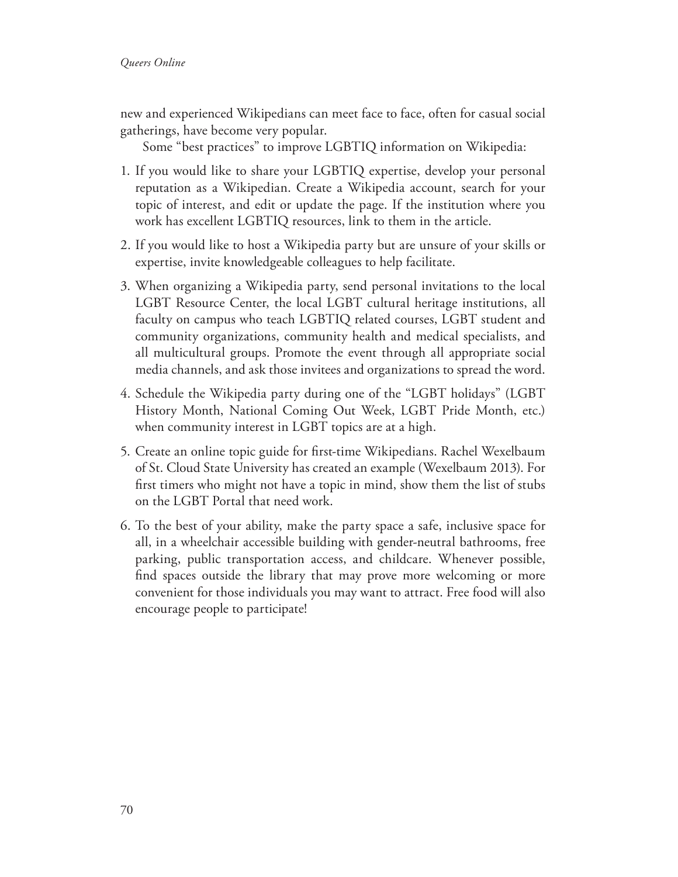new and experienced Wikipedians can meet face to face, often for casual social gatherings, have become very popular.

Some "best practices" to improve LGBTIQ information on Wikipedia:

- 1. If you would like to share your LGBTIQ expertise, develop your personal reputation as a Wikipedian. Create a Wikipedia account, search for your topic of interest, and edit or update the page. If the institution where you work has excellent LGBTIQ resources, link to them in the article.
- 2. If you would like to host a Wikipedia party but are unsure of your skills or expertise, invite knowledgeable colleagues to help facilitate.
- 3. When organizing a Wikipedia party, send personal invitations to the local LGBT Resource Center, the local LGBT cultural heritage institutions, all faculty on campus who teach LGBTIQ related courses, LGBT student and community organizations, community health and medical specialists, and all multicultural groups. Promote the event through all appropriate social media channels, and ask those invitees and organizations to spread the word.
- 4. Schedule the Wikipedia party during one of the "LGBT holidays" (LGBT History Month, National Coming Out Week, LGBT Pride Month, etc.) when community interest in LGBT topics are at a high.
- 5. Create an online topic guide for frst-time Wikipedians. Rachel Wexelbaum of St. Cloud State University has created an example (Wexelbaum 2013). For frst timers who might not have a topic in mind, show them the list of stubs on the LGBT Portal that need work.
- 6. To the best of your ability, make the party space a safe, inclusive space for all, in a wheelchair accessible building with gender-neutral bathrooms, free parking, public transportation access, and childcare. Whenever possible, fnd spaces outside the library that may prove more welcoming or more convenient for those individuals you may want to attract. Free food will also encourage people to participate!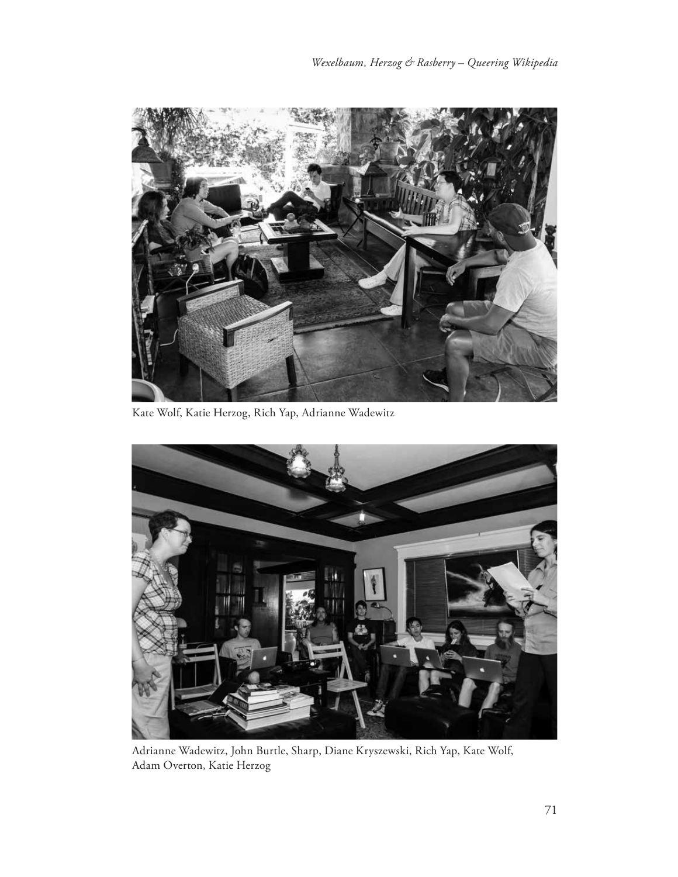

Kate Wolf, Katie Herzog, Rich Yap, Adrianne Wadewitz



Adrianne Wadewitz, John Burtle, Sharp, Diane Kryszewski, Rich Yap, Kate Wolf, Adam Overton, Katie Herzog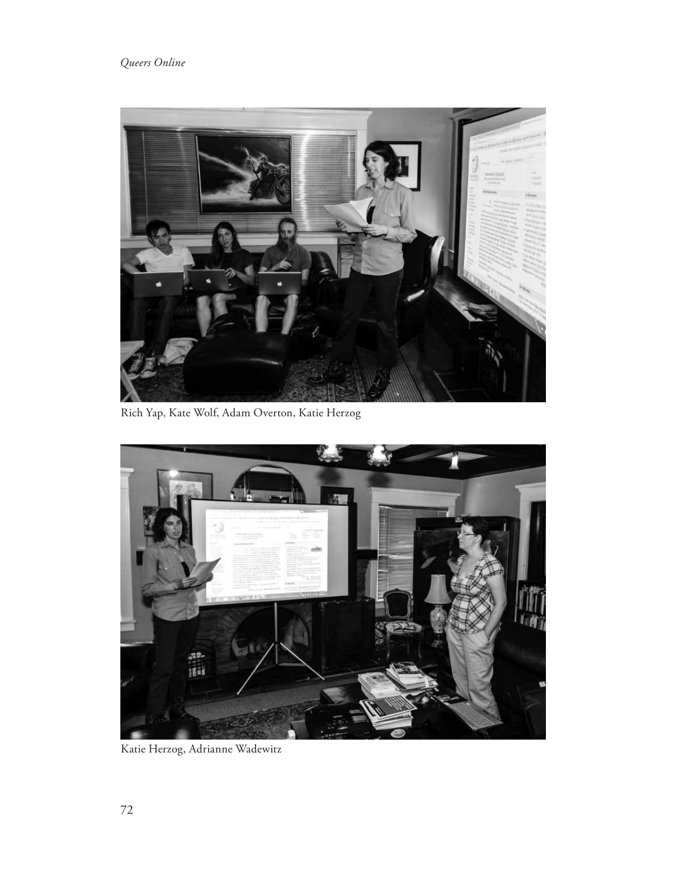## *Queers Online*



Rich Yap, Kate Wolf, Adam Overton, Katie Herzog



Katie Herzog, Adrianne Wadewitz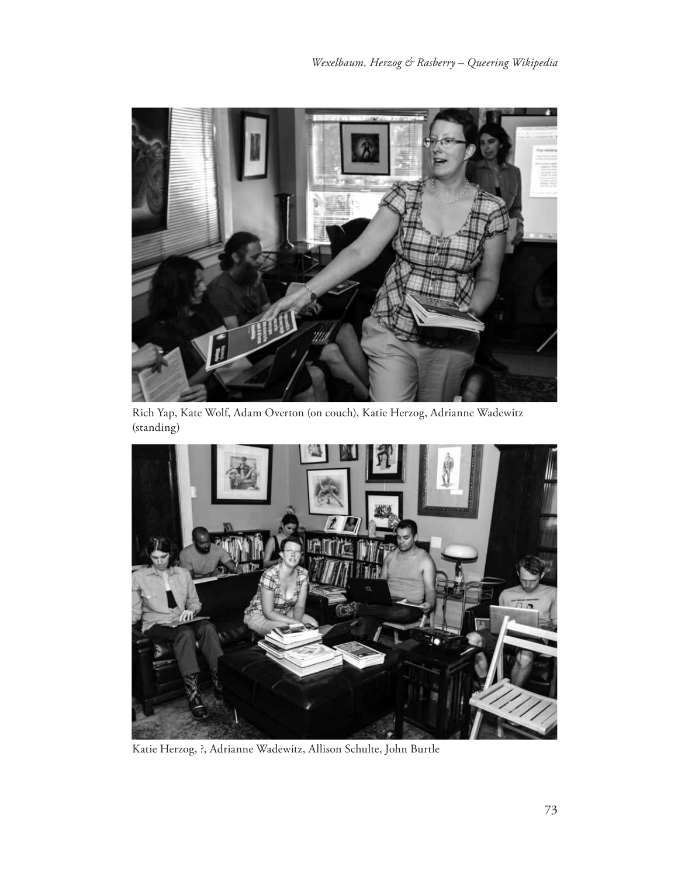

Rich Yap, Kate Wolf, Adam Overton (on couch), Katie Herzog, Adrianne Wadewitz (standing)



Katie Herzog, ?, Adrianne Wadewitz, Allison Schulte, John Burtle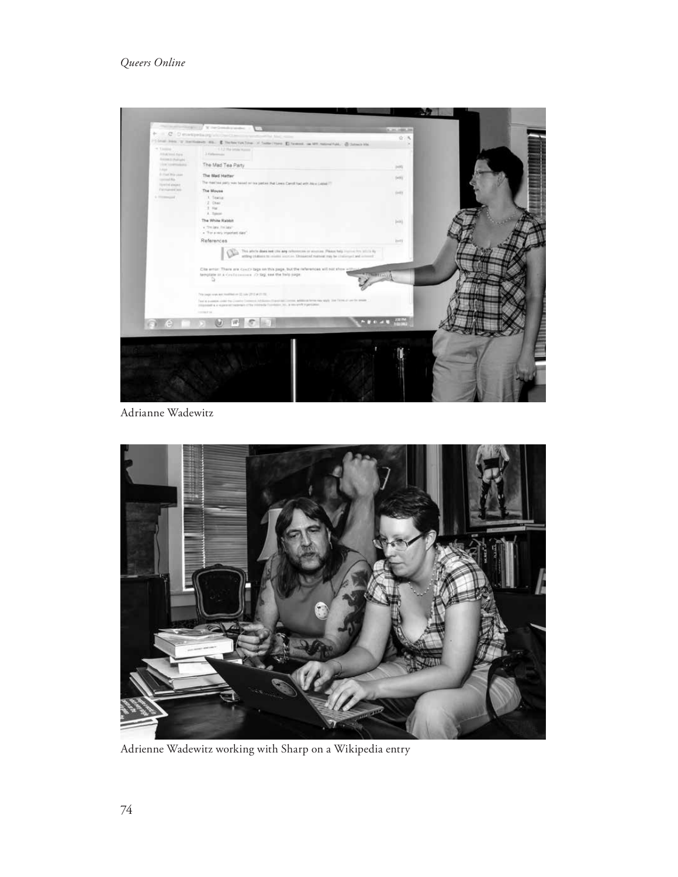### *Queers Online*



Adrianne Wadewitz



Adrienne Wadewitz working with Sharp on a Wikipedia entry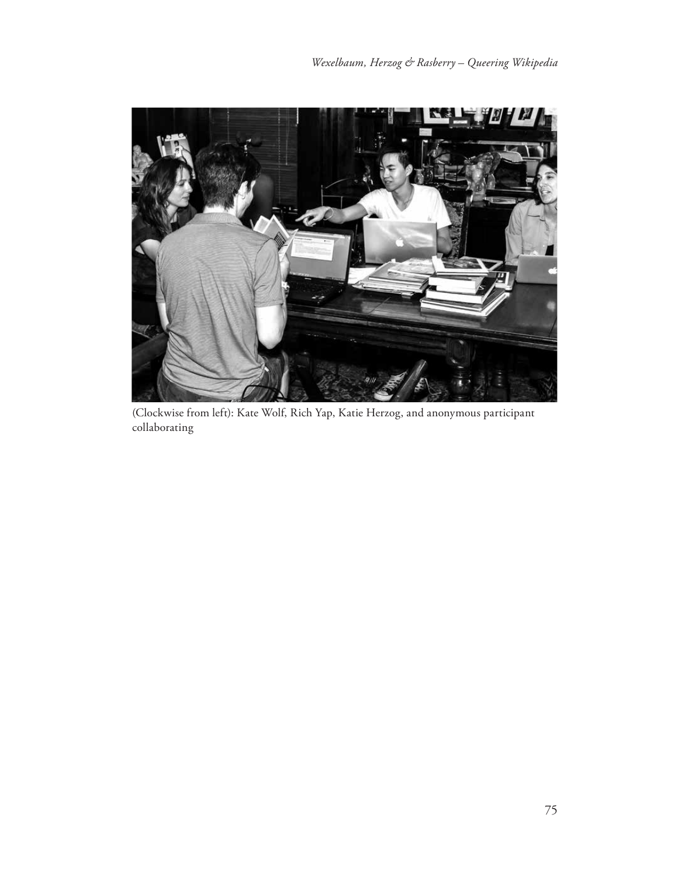

(Clockwise from left): Kate Wolf, Rich Yap, Katie Herzog, and anonymous participant collaborating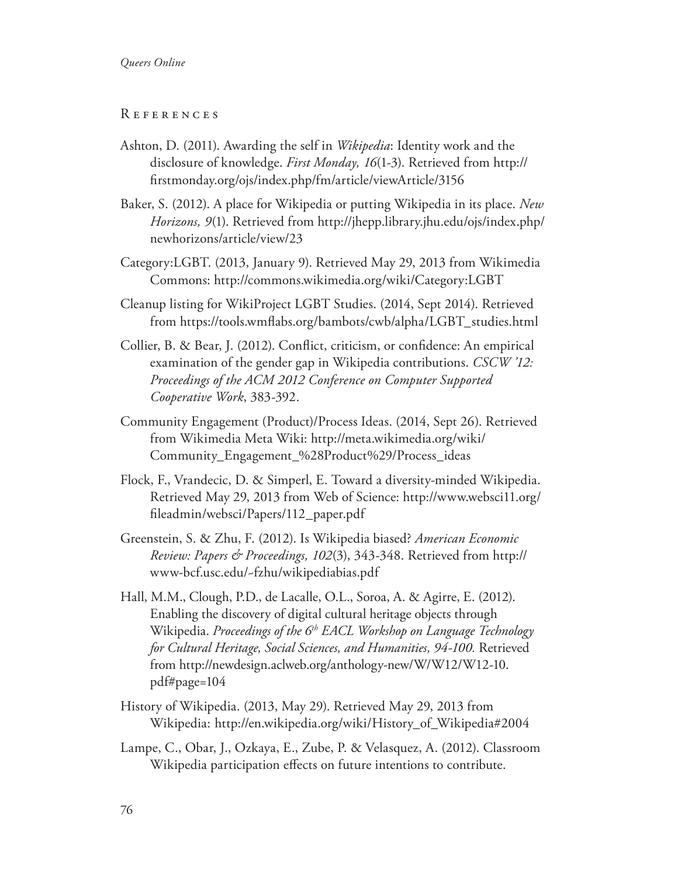#### *Queers Online*

#### R eferences

- Ashton, D. (2011). Awarding the self in *Wikipedia*: Identity work and the disclosure of knowledge. *First Monday, 16*(1-3). Retrieved from http:// frstmonday.org/ojs/index.php/fm/article/viewArticle/3156
- Baker, S. (2012). A place for Wikipedia or putting Wikipedia in its place. *New Horizons, 9*(1). Retrieved from http://jhepp.library.jhu.edu/ojs/index.php/ newhorizons/article/view/23
- Category:LGBT. (2013, January 9). Retrieved May 29, 2013 from Wikimedia Commons: http://commons.wikimedia.org/wiki/Category:LGBT
- Cleanup listing for WikiProject LGBT Studies. (2014, Sept 2014). Retrieved from https://tools.wmfabs.org/bambots/cwb/alpha/LGBT\_studies.html
- Collier, B. & Bear, J. (2012). Confict, criticism, or confdence: An empirical examination of the gender gap in Wikipedia contributions. *CSCW '12: Proceedings of the ACM 2012 Conference on Computer Supported Cooperative Work*, 383-392.
- Community Engagement (Product)/Process Ideas. (2014, Sept 26). Retrieved from Wikimedia Meta Wiki: http://meta.wikimedia.org/wiki/ Community\_Engagement\_%28Product%29/Process\_ideas
- Flock, F., Vrandecic, D. & Simperl, E. Toward a diversity-minded Wikipedia. Retrieved May 29, 2013 from Web of Science: http://www.websci11.org/ fleadmin/websci/Papers/112\_paper.pdf
- Greenstein, S. & Zhu, F. (2012). Is Wikipedia biased? *American Economic Review: Papers & Proceedings, 102*(3), 343-348. Retrieved from http:// www-bcf.usc.edu/~fzhu/wikipediabias.pdf
- Hall, M.M., Clough, P.D., de Lacalle, O.L., Soroa, A. & Agirre, E. (2012). Enabling the discovery of digital cultural heritage objects through Wikipedia. *Proceedings of the 6th EACL Workshop on Language Technology for Cultural Heritage, Social Sciences, and Humanities, 94-100.* Retrieved from http://newdesign.aclweb.org/anthology-new/W/W12/W12-10. pdf#page=104
- History of Wikipedia. (2013, May 29). Retrieved May 29, 2013 from Wikipedia: http://en.wikipedia.org/wiki/History\_of\_Wikipedia#2004
- Lampe, C., Obar, J., Ozkaya, E., Zube, P. & Velasquez, A. (2012). Classroom Wikipedia participation efects on future intentions to contribute.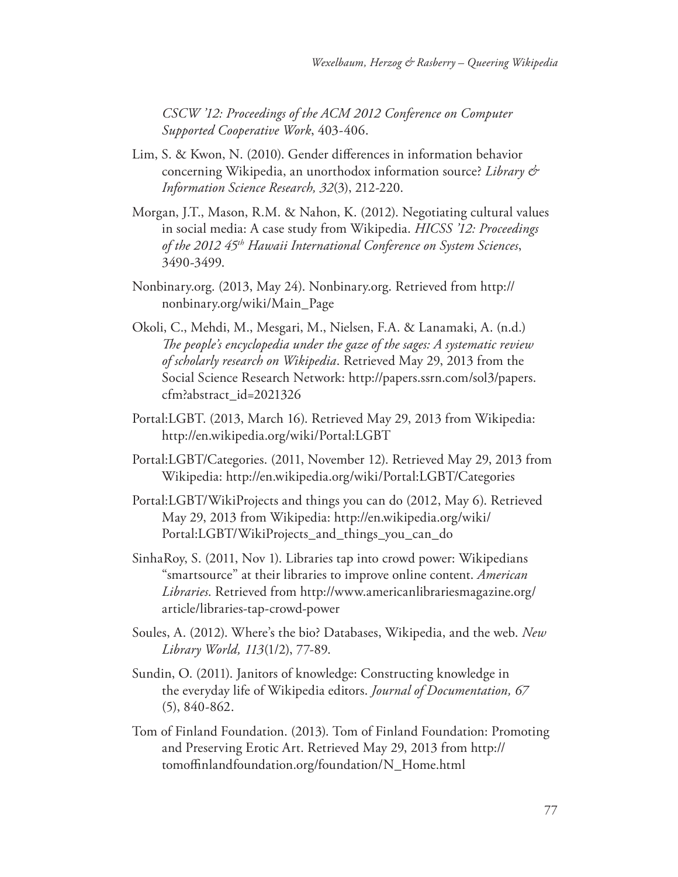*CSCW '12: Proceedings of the ACM 2012 Conference on Computer Supported Cooperative Work*, 403-406.

- Lim, S. & Kwon, N. (2010). Gender diferences in information behavior concerning Wikipedia, an unorthodox information source? *Library & Information Science Research, 32*(3), 212-220.
- Morgan, J.T., Mason, R.M. & Nahon, K. (2012). Negotiating cultural values in social media: A case study from Wikipedia. *HICSS '12: Proceedings of the 2012 45th Hawaii International Conference on System Sciences*, 3490-3499.
- Nonbinary.org. (2013, May 24). Nonbinary.org. Retrieved from http:// nonbinary.org/wiki/Main\_Page
- Okoli, C., Mehdi, M., Mesgari, M., Nielsen, F.A. & Lanamaki, A. (n.d.) *Te people's encyclopedia under the gaze of the sages: A systematic review of scholarly research on Wikipedia*. Retrieved May 29, 2013 from the Social Science Research Network: http://papers.ssrn.com/sol3/papers. cfm?abstract\_id=2021326
- Portal:LGBT. (2013, March 16). Retrieved May 29, 2013 from Wikipedia: http://en.wikipedia.org/wiki/Portal:LGBT
- Portal:LGBT/Categories. (2011, November 12). Retrieved May 29, 2013 from Wikipedia: http://en.wikipedia.org/wiki/Portal:LGBT/Categories
- Portal:LGBT/WikiProjects and things you can do (2012, May 6). Retrieved May 29, 2013 from Wikipedia: http://en.wikipedia.org/wiki/ Portal:LGBT/WikiProjects\_and\_things\_you\_can\_do
- SinhaRoy, S. (2011, Nov 1). Libraries tap into crowd power: Wikipedians "smartsource" at their libraries to improve online content. *American Libraries*. Retrieved from http://www.americanlibrariesmagazine.org/ article/libraries-tap-crowd-power
- Soules, A. (2012). Where's the bio? Databases, Wikipedia, and the web. *New Library World, 113*(1/2), 77-89.
- Sundin, O. (2011). Janitors of knowledge: Constructing knowledge in the everyday life of Wikipedia editors. *Journal of Documentation, 67* (5), 840-862.
- Tom of Finland Foundation. (2013). Tom of Finland Foundation: Promoting and Preserving Erotic Art. Retrieved May 29, 2013 from http:// tomofnlandfoundation.org/foundation/N\_Home.html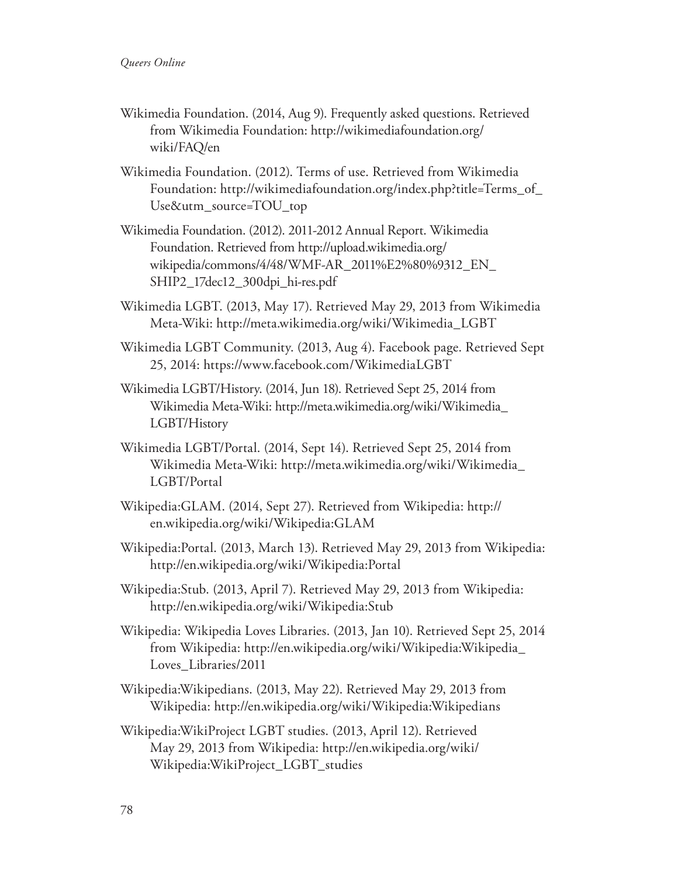- Wikimedia Foundation. (2014, Aug 9). Frequently asked questions. Retrieved from Wikimedia Foundation: http://wikimediafoundation.org/ wiki/FAQ/en
- Wikimedia Foundation. (2012). Terms of use. Retrieved from Wikimedia Foundation: http://wikimediafoundation.org/index.php?title=Terms\_of\_ Use&utm\_source=TOU\_top
- Wikimedia Foundation. (2012). 2011-2012 Annual Report. Wikimedia Foundation. Retrieved from http://upload.wikimedia.org/ wikipedia/commons/4/48/WMF-AR\_2011%E2%80%9312\_EN\_ SHIP2\_17dec12\_300dpi\_hi-res.pdf
- Wikimedia LGBT. (2013, May 17). Retrieved May 29, 2013 from Wikimedia Meta-Wiki: http://meta.wikimedia.org/wiki/Wikimedia\_LGBT
- Wikimedia LGBT Community. (2013, Aug 4). Facebook page. Retrieved Sept 25, 2014: https://www.facebook.com/WikimediaLGBT
- Wikimedia LGBT/History. (2014, Jun 18). Retrieved Sept 25, 2014 from Wikimedia Meta-Wiki: http://meta.wikimedia.org/wiki/Wikimedia\_ LGBT/History
- Wikimedia LGBT/Portal. (2014, Sept 14). Retrieved Sept 25, 2014 from Wikimedia Meta-Wiki: http://meta.wikimedia.org/wiki/Wikimedia\_ LGBT/Portal
- Wikipedia:GLAM. (2014, Sept 27). Retrieved from Wikipedia: http:// en.wikipedia.org/wiki/Wikipedia:GLAM
- Wikipedia:Portal. (2013, March 13). Retrieved May 29, 2013 from Wikipedia: http://en.wikipedia.org/wiki/Wikipedia:Portal
- Wikipedia:Stub. (2013, April 7). Retrieved May 29, 2013 from Wikipedia: http://en.wikipedia.org/wiki/Wikipedia:Stub
- Wikipedia: Wikipedia Loves Libraries. (2013, Jan 10). Retrieved Sept 25, 2014 from Wikipedia: http://en.wikipedia.org/wiki/Wikipedia:Wikipedia\_ Loves\_Libraries/2011
- Wikipedia:Wikipedians. (2013, May 22). Retrieved May 29, 2013 from Wikipedia: http://en.wikipedia.org/wiki/Wikipedia:Wikipedians
- Wikipedia:WikiProject LGBT studies. (2013, April 12). Retrieved May 29, 2013 from Wikipedia: http://en.wikipedia.org/wiki/ Wikipedia:WikiProject\_LGBT\_studies